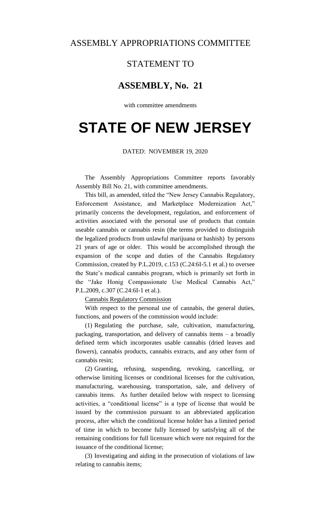## ASSEMBLY APPROPRIATIONS COMMITTEE

## STATEMENT TO

# **ASSEMBLY, No. 21**

with committee amendments

# **STATE OF NEW JERSEY**

#### DATED: NOVEMBER 19, 2020

The Assembly Appropriations Committee reports favorably Assembly Bill No. 21, with committee amendments.

This bill, as amended, titled the "New Jersey Cannabis Regulatory, Enforcement Assistance, and Marketplace Modernization Act," primarily concerns the development, regulation, and enforcement of activities associated with the personal use of products that contain useable cannabis or cannabis resin (the terms provided to distinguish the legalized products from unlawful marijuana or hashish) by persons 21 years of age or older. This would be accomplished through the expansion of the scope and duties of the Cannabis Regulatory Commission, created by P.L.2019, c.153 (C.24:6I-5.1 et al.) to oversee the State's medical cannabis program, which is primarily set forth in the "Jake Honig Compassionate Use Medical Cannabis Act," P.L.2009, c.307 (C.24:6I-1 et al.).

Cannabis Regulatory Commission

With respect to the personal use of cannabis, the general duties, functions, and powers of the commission would include:

(1) Regulating the purchase, sale, cultivation, manufacturing, packaging, transportation, and delivery of cannabis items – a broadly defined term which incorporates usable cannabis (dried leaves and flowers), cannabis products, cannabis extracts, and any other form of cannabis resin;

(2) Granting, refusing, suspending, revoking, cancelling, or otherwise limiting licenses or conditional licenses for the cultivation, manufacturing, warehousing, transportation, sale, and delivery of cannabis items. As further detailed below with respect to licensing activities, a "conditional license" is a type of license that would be issued by the commission pursuant to an abbreviated application process, after which the conditional license holder has a limited period of time in which to become fully licensed by satisfying all of the remaining conditions for full licensure which were not required for the issuance of the conditional license;

(3) Investigating and aiding in the prosecution of violations of law relating to cannabis items;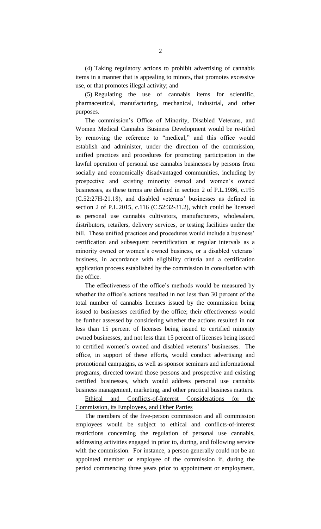(4) Taking regulatory actions to prohibit advertising of cannabis items in a manner that is appealing to minors, that promotes excessive use, or that promotes illegal activity; and

(5) Regulating the use of cannabis items for scientific, pharmaceutical, manufacturing, mechanical, industrial, and other purposes.

The commission's Office of Minority, Disabled Veterans, and Women Medical Cannabis Business Development would be re-titled by removing the reference to "medical," and this office would establish and administer, under the direction of the commission, unified practices and procedures for promoting participation in the lawful operation of personal use cannabis businesses by persons from socially and economically disadvantaged communities, including by prospective and existing minority owned and women's owned businesses, as these terms are defined in section 2 of P.L.1986, c.195 (C.52:27H-21.18), and disabled veterans' businesses as defined in section 2 of P.L.2015, c.116 (C.52:32-31.2), which could be licensed as personal use cannabis cultivators, manufacturers, wholesalers, distributors, retailers, delivery services, or testing facilities under the bill. These unified practices and procedures would include a business' certification and subsequent recertification at regular intervals as a minority owned or women's owned business, or a disabled veterans' business, in accordance with eligibility criteria and a certification application process established by the commission in consultation with the office.

The effectiveness of the office's methods would be measured by whether the office's actions resulted in not less than 30 percent of the total number of cannabis licenses issued by the commission being issued to businesses certified by the office; their effectiveness would be further assessed by considering whether the actions resulted in not less than 15 percent of licenses being issued to certified minority owned businesses, and not less than 15 percent of licenses being issued to certified women's owned and disabled veterans' businesses. The office, in support of these efforts, would conduct advertising and promotional campaigns, as well as sponsor seminars and informational programs, directed toward those persons and prospective and existing certified businesses, which would address personal use cannabis business management, marketing, and other practical business matters.

Ethical and Conflicts-of-Interest Considerations for the Commission, its Employees, and Other Parties

The members of the five-person commission and all commission employees would be subject to ethical and conflicts-of-interest restrictions concerning the regulation of personal use cannabis, addressing activities engaged in prior to, during, and following service with the commission. For instance, a person generally could not be an appointed member or employee of the commission if, during the period commencing three years prior to appointment or employment,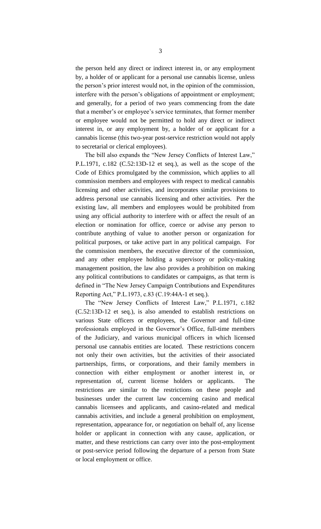the person held any direct or indirect interest in, or any employment by, a holder of or applicant for a personal use cannabis license, unless the person's prior interest would not, in the opinion of the commission, interfere with the person's obligations of appointment or employment; and generally, for a period of two years commencing from the date that a member's or employee's service terminates, that former member or employee would not be permitted to hold any direct or indirect interest in, or any employment by, a holder of or applicant for a cannabis license (this two-year post-service restriction would not apply to secretarial or clerical employees).

The bill also expands the "New Jersey Conflicts of Interest Law," P.L.1971, c.182 (C.52:13D-12 et seq.), as well as the scope of the Code of Ethics promulgated by the commission, which applies to all commission members and employees with respect to medical cannabis licensing and other activities, and incorporates similar provisions to address personal use cannabis licensing and other activities. Per the existing law, all members and employees would be prohibited from using any official authority to interfere with or affect the result of an election or nomination for office, coerce or advise any person to contribute anything of value to another person or organization for political purposes, or take active part in any political campaign. For the commission members, the executive director of the commission, and any other employee holding a supervisory or policy-making management position, the law also provides a prohibition on making any political contributions to candidates or campaigns, as that term is defined in "The New Jersey Campaign Contributions and Expenditures Reporting Act," P.L.1973, c.83 (C.19:44A-1 et seq.).

The "New Jersey Conflicts of Interest Law," P.L.1971, c.182 (C.52:13D-12 et seq.), is also amended to establish restrictions on various State officers or employees, the Governor and full-time professionals employed in the Governor's Office, full-time members of the Judiciary, and various municipal officers in which licensed personal use cannabis entities are located. These restrictions concern not only their own activities, but the activities of their associated partnerships, firms, or corporations, and their family members in connection with either employment or another interest in, or representation of, current license holders or applicants. The restrictions are similar to the restrictions on these people and businesses under the current law concerning casino and medical cannabis licensees and applicants, and casino-related and medical cannabis activities, and include a general prohibition on employment, representation, appearance for, or negotiation on behalf of, any license holder or applicant in connection with any cause, application, or matter, and these restrictions can carry over into the post-employment or post-service period following the departure of a person from State or local employment or office.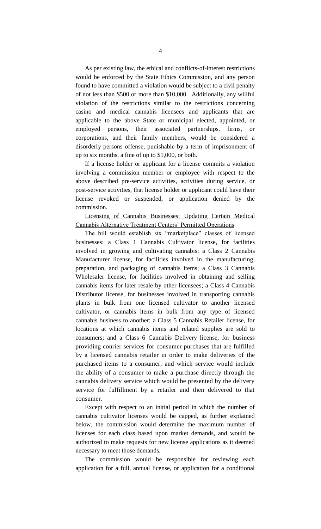As per existing law, the ethical and conflicts-of-interest restrictions would be enforced by the State Ethics Commission, and any person found to have committed a violation would be subject to a civil penalty of not less than \$500 or more than \$10,000. Additionally, any willful violation of the restrictions similar to the restrictions concerning casino and medical cannabis licensees and applicants that are applicable to the above State or municipal elected, appointed, or employed persons, their associated partnerships, firms, or corporations, and their family members, would be considered a disorderly persons offense, punishable by a term of imprisonment of up to six months, a fine of up to \$1,000, or both.

If a license holder or applicant for a license commits a violation involving a commission member or employee with respect to the above described pre-service activities, activities during service, or post-service activities, that license holder or applicant could have their license revoked or suspended, or application denied by the commission.

Licensing of Cannabis Businesses; Updating Certain Medical Cannabis Alternative Treatment Centers' Permitted Operations

The bill would establish six "marketplace" classes of licensed businesses: a Class 1 Cannabis Cultivator license, for facilities involved in growing and cultivating cannabis; a Class 2 Cannabis Manufacturer license, for facilities involved in the manufacturing, preparation, and packaging of cannabis items; a Class 3 Cannabis Wholesaler license, for facilities involved in obtaining and selling cannabis items for later resale by other licensees; a Class 4 Cannabis Distributor license, for businesses involved in transporting cannabis plants in bulk from one licensed cultivator to another licensed cultivator, or cannabis items in bulk from any type of licensed cannabis business to another; a Class 5 Cannabis Retailer license, for locations at which cannabis items and related supplies are sold to consumers; and a Class 6 Cannabis Delivery license, for business providing courier services for consumer purchases that are fulfilled by a licensed cannabis retailer in order to make deliveries of the purchased items to a consumer, and which service would include the ability of a consumer to make a purchase directly through the cannabis delivery service which would be presented by the delivery service for fulfillment by a retailer and then delivered to that consumer.

Except with respect to an initial period in which the number of cannabis cultivator licenses would be capped, as further explained below, the commission would determine the maximum number of licenses for each class based upon market demands, and would be authorized to make requests for new license applications as it deemed necessary to meet those demands.

The commission would be responsible for reviewing each application for a full, annual license, or application for a conditional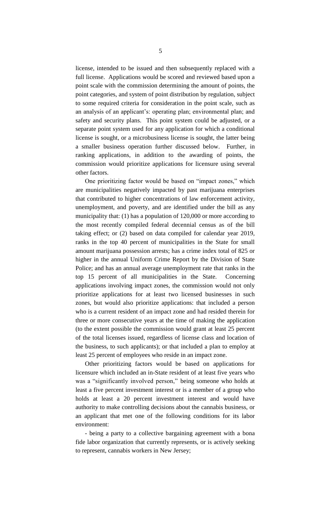license, intended to be issued and then subsequently replaced with a full license. Applications would be scored and reviewed based upon a point scale with the commission determining the amount of points, the point categories, and system of point distribution by regulation, subject to some required criteria for consideration in the point scale, such as an analysis of an applicant's: operating plan; environmental plan; and safety and security plans. This point system could be adjusted, or a separate point system used for any application for which a conditional license is sought, or a microbusiness license is sought, the latter being a smaller business operation further discussed below. Further, in ranking applications, in addition to the awarding of points, the commission would prioritize applications for licensure using several other factors.

One prioritizing factor would be based on "impact zones," which are municipalities negatively impacted by past marijuana enterprises that contributed to higher concentrations of law enforcement activity, unemployment, and poverty, and are identified under the bill as any municipality that: (1) has a population of 120,000 or more according to the most recently compiled federal decennial census as of the bill taking effect; or (2) based on data compiled for calendar year 2019, ranks in the top 40 percent of municipalities in the State for small amount marijuana possession arrests; has a crime index total of 825 or higher in the annual Uniform Crime Report by the Division of State Police; and has an annual average unemployment rate that ranks in the top 15 percent of all municipalities in the State. Concerning applications involving impact zones, the commission would not only prioritize applications for at least two licensed businesses in such zones, but would also prioritize applications: that included a person who is a current resident of an impact zone and had resided therein for three or more consecutive years at the time of making the application (to the extent possible the commission would grant at least 25 percent of the total licenses issued, regardless of license class and location of the business, to such applicants); or that included a plan to employ at least 25 percent of employees who reside in an impact zone.

Other prioritizing factors would be based on applications for licensure which included an in-State resident of at least five years who was a "significantly involved person," being someone who holds at least a five percent investment interest or is a member of a group who holds at least a 20 percent investment interest and would have authority to make controlling decisions about the cannabis business, or an applicant that met one of the following conditions for its labor environment:

- being a party to a collective bargaining agreement with a bona fide labor organization that currently represents, or is actively seeking to represent, cannabis workers in New Jersey;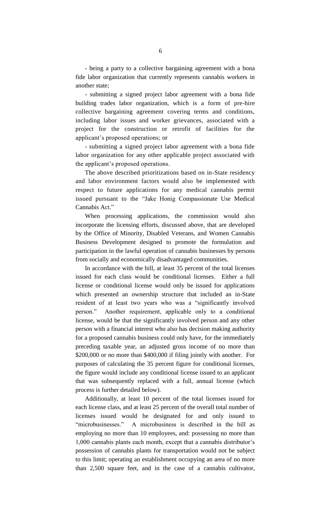- being a party to a collective bargaining agreement with a bona fide labor organization that currently represents cannabis workers in another state;

- submitting a signed project labor agreement with a bona fide building trades labor organization, which is a form of pre-hire collective bargaining agreement covering terms and conditions, including labor issues and worker grievances, associated with a project for the construction or retrofit of facilities for the applicant's proposed operations; or

- submitting a signed project labor agreement with a bona fide labor organization for any other applicable project associated with the applicant's proposed operations.

The above described prioritizations based on in-State residency and labor environment factors would also be implemented with respect to future applications for any medical cannabis permit issued pursuant to the "Jake Honig Compassionate Use Medical Cannabis Act."

When processing applications, the commission would also incorporate the licensing efforts, discussed above, that are developed by the Office of Minority, Disabled Veterans, and Women Cannabis Business Development designed to promote the formulation and participation in the lawful operation of cannabis businesses by persons from socially and economically disadvantaged communities.

In accordance with the bill, at least 35 percent of the total licenses issued for each class would be conditional licenses. Either a full license or conditional license would only be issued for applications which presented an ownership structure that included an in-State resident of at least two years who was a "significantly involved person." Another requirement, applicable only to a conditional license, would be that the significantly involved person and any other person with a financial interest who also has decision making authority for a proposed cannabis business could only have, for the immediately preceding taxable year, an adjusted gross income of no more than \$200,000 or no more than \$400,000 if filing jointly with another. For purposes of calculating the 35 percent figure for conditional licenses, the figure would include any conditional license issued to an applicant that was subsequently replaced with a full, annual license (which process is further detailed below).

Additionally, at least 10 percent of the total licenses issued for each license class, and at least 25 percent of the overall total number of licenses issued would be designated for and only issued to "microbusinesses." A microbusiness is described in the bill as employing no more than 10 employees, and: possessing no more than 1,000 cannabis plants each month, except that a cannabis distributor's possession of cannabis plants for transportation would not be subject to this limit; operating an establishment occupying an area of no more than 2,500 square feet, and in the case of a cannabis cultivator,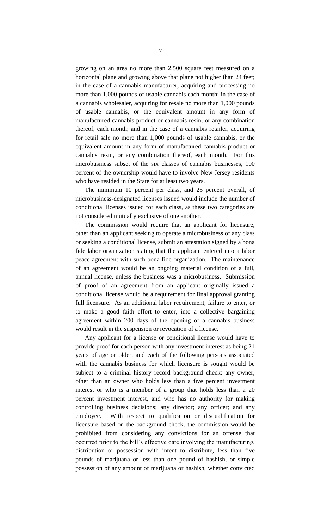growing on an area no more than 2,500 square feet measured on a horizontal plane and growing above that plane not higher than 24 feet; in the case of a cannabis manufacturer, acquiring and processing no more than 1,000 pounds of usable cannabis each month; in the case of a cannabis wholesaler, acquiring for resale no more than 1,000 pounds of usable cannabis, or the equivalent amount in any form of manufactured cannabis product or cannabis resin, or any combination thereof, each month; and in the case of a cannabis retailer, acquiring for retail sale no more than 1,000 pounds of usable cannabis, or the equivalent amount in any form of manufactured cannabis product or cannabis resin, or any combination thereof, each month. For this microbusiness subset of the six classes of cannabis businesses, 100 percent of the ownership would have to involve New Jersey residents who have resided in the State for at least two years.

The minimum 10 percent per class, and 25 percent overall, of microbusiness-designated licenses issued would include the number of conditional licenses issued for each class, as these two categories are not considered mutually exclusive of one another.

The commission would require that an applicant for licensure, other than an applicant seeking to operate a microbusiness of any class or seeking a conditional license, submit an attestation signed by a bona fide labor organization stating that the applicant entered into a labor peace agreement with such bona fide organization. The maintenance of an agreement would be an ongoing material condition of a full, annual license, unless the business was a microbusiness. Submission of proof of an agreement from an applicant originally issued a conditional license would be a requirement for final approval granting full licensure. As an additional labor requirement, failure to enter, or to make a good faith effort to enter, into a collective bargaining agreement within 200 days of the opening of a cannabis business would result in the suspension or revocation of a license.

Any applicant for a license or conditional license would have to provide proof for each person with any investment interest as being 21 years of age or older, and each of the following persons associated with the cannabis business for which licensure is sought would be subject to a criminal history record background check: any owner, other than an owner who holds less than a five percent investment interest or who is a member of a group that holds less than a 20 percent investment interest, and who has no authority for making controlling business decisions; any director; any officer; and any employee. With respect to qualification or disqualification for licensure based on the background check, the commission would be prohibited from considering any convictions for an offense that occurred prior to the bill's effective date involving the manufacturing, distribution or possession with intent to distribute, less than five pounds of marijuana or less than one pound of hashish, or simple possession of any amount of marijuana or hashish, whether convicted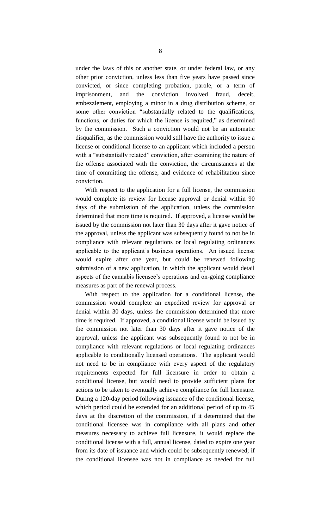under the laws of this or another state, or under federal law, or any other prior conviction, unless less than five years have passed since convicted, or since completing probation, parole, or a term of imprisonment, and the conviction involved fraud, deceit, embezzlement, employing a minor in a drug distribution scheme, or some other conviction "substantially related to the qualifications, functions, or duties for which the license is required," as determined by the commission. Such a conviction would not be an automatic disqualifier, as the commission would still have the authority to issue a license or conditional license to an applicant which included a person with a "substantially related" conviction, after examining the nature of the offense associated with the conviction, the circumstances at the time of committing the offense, and evidence of rehabilitation since conviction.

With respect to the application for a full license, the commission would complete its review for license approval or denial within 90 days of the submission of the application, unless the commission determined that more time is required. If approved, a license would be issued by the commission not later than 30 days after it gave notice of the approval, unless the applicant was subsequently found to not be in compliance with relevant regulations or local regulating ordinances applicable to the applicant's business operations. An issued license would expire after one year, but could be renewed following submission of a new application, in which the applicant would detail aspects of the cannabis licensee's operations and on-going compliance measures as part of the renewal process.

With respect to the application for a conditional license, the commission would complete an expedited review for approval or denial within 30 days, unless the commission determined that more time is required. If approved, a conditional license would be issued by the commission not later than 30 days after it gave notice of the approval, unless the applicant was subsequently found to not be in compliance with relevant regulations or local regulating ordinances applicable to conditionally licensed operations. The applicant would not need to be in compliance with every aspect of the regulatory requirements expected for full licensure in order to obtain a conditional license, but would need to provide sufficient plans for actions to be taken to eventually achieve compliance for full licensure. During a 120-day period following issuance of the conditional license, which period could be extended for an additional period of up to 45 days at the discretion of the commission, if it determined that the conditional licensee was in compliance with all plans and other measures necessary to achieve full licensure, it would replace the conditional license with a full, annual license, dated to expire one year from its date of issuance and which could be subsequently renewed; if the conditional licensee was not in compliance as needed for full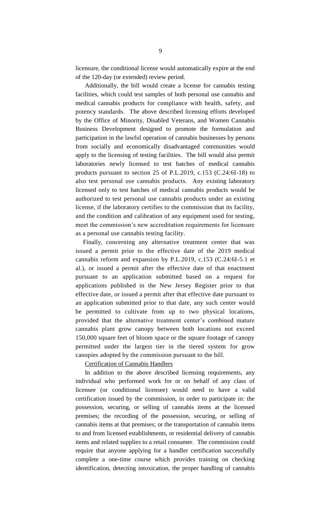licensure, the conditional license would automatically expire at the end of the 120-day (or extended) review period.

Additionally, the bill would create a license for cannabis testing facilities, which could test samples of both personal use cannabis and medical cannabis products for compliance with health, safety, and potency standards. The above described licensing efforts developed by the Office of Minority, Disabled Veterans, and Women Cannabis Business Development designed to promote the formulation and participation in the lawful operation of cannabis businesses by persons from socially and economically disadvantaged communities would apply to the licensing of testing facilities. The bill would also permit laboratories newly licensed to test batches of medical cannabis products pursuant to section 25 of P.L.2019, c.153 (C.24:6I-18) to also test personal use cannabis products. Any existing laboratory licensed only to test batches of medical cannabis products would be authorized to test personal use cannabis products under an existing license, if the laboratory certifies to the commission that its facility, and the condition and calibration of any equipment used for testing, meet the commission's new accreditation requirements for licensure as a personal use cannabis testing facility.

Finally, concerning any alternative treatment center that was issued a permit prior to the effective date of the 2019 medical cannabis reform and expansion by P.L.2019, c.153 (C.24:6I-5.1 et al.), or issued a permit after the effective date of that enactment pursuant to an application submitted based on a request for applications published in the New Jersey Register prior to that effective date, or issued a permit after that effective date pursuant to an application submitted prior to that date, any such center would be permitted to cultivate from up to two physical locations, provided that the alternative treatment center's combined mature cannabis plant grow canopy between both locations not exceed 150,000 square feet of bloom space or the square footage of canopy permitted under the largest tier in the tiered system for grow canopies adopted by the commission pursuant to the bill.

#### Certification of Cannabis Handlers

In addition to the above described licensing requirements, any individual who performed work for or on behalf of any class of licensee (or conditional licensee) would need to have a valid certification issued by the commission, in order to participate in: the possession, securing, or selling of cannabis items at the licensed premises; the recording of the possession, securing, or selling of cannabis items at that premises; or the transportation of cannabis items to and from licensed establishments, or residential delivery of cannabis items and related supplies to a retail consumer. The commission could require that anyone applying for a handler certification successfully complete a one-time course which provides training on checking identification, detecting intoxication, the proper handling of cannabis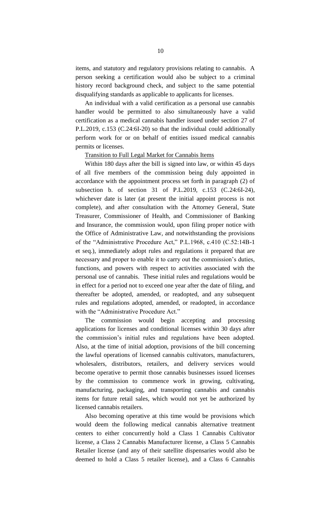items, and statutory and regulatory provisions relating to cannabis. A person seeking a certification would also be subject to a criminal history record background check, and subject to the same potential disqualifying standards as applicable to applicants for licenses.

An individual with a valid certification as a personal use cannabis handler would be permitted to also simultaneously have a valid certification as a medical cannabis handler issued under section 27 of P.L.2019, c.153 (C.24:6I-20) so that the individual could additionally perform work for or on behalf of entities issued medical cannabis permits or licenses.

#### Transition to Full Legal Market for Cannabis Items

Within 180 days after the bill is signed into law, or within 45 days of all five members of the commission being duly appointed in accordance with the appointment process set forth in paragraph (2) of subsection b. of section 31 of P.L.2019, c.153 (C.24:6I-24), whichever date is later (at present the initial appoint process is not complete), and after consultation with the Attorney General, State Treasurer, Commissioner of Health, and Commissioner of Banking and Insurance, the commission would, upon filing proper notice with the Office of Administrative Law, and notwithstanding the provisions of the "Administrative Procedure Act," P.L.1968, c.410 (C.52:14B-1 et seq.), immediately adopt rules and regulations it prepared that are necessary and proper to enable it to carry out the commission's duties, functions, and powers with respect to activities associated with the personal use of cannabis. These initial rules and regulations would be in effect for a period not to exceed one year after the date of filing, and thereafter be adopted, amended, or readopted, and any subsequent rules and regulations adopted, amended, or readopted, in accordance with the "Administrative Procedure Act."

The commission would begin accepting and processing applications for licenses and conditional licenses within 30 days after the commission's initial rules and regulations have been adopted. Also, at the time of initial adoption, provisions of the bill concerning the lawful operations of licensed cannabis cultivators, manufacturers, wholesalers, distributors, retailers, and delivery services would become operative to permit those cannabis businesses issued licenses by the commission to commence work in growing, cultivating, manufacturing, packaging, and transporting cannabis and cannabis items for future retail sales, which would not yet be authorized by licensed cannabis retailers.

Also becoming operative at this time would be provisions which would deem the following medical cannabis alternative treatment centers to either concurrently hold a Class 1 Cannabis Cultivator license, a Class 2 Cannabis Manufacturer license, a Class 5 Cannabis Retailer license (and any of their satellite dispensaries would also be deemed to hold a Class 5 retailer license), and a Class 6 Cannabis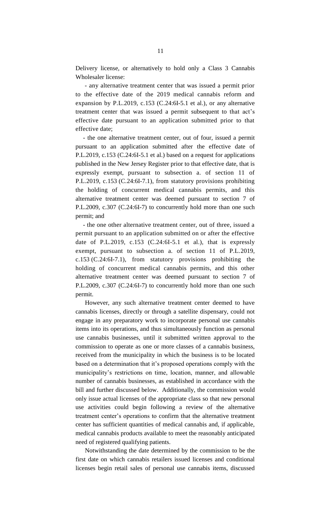Delivery license, or alternatively to hold only a Class 3 Cannabis Wholesaler license:

- any alternative treatment center that was issued a permit prior to the effective date of the 2019 medical cannabis reform and expansion by P.L.2019, c.153 (C.24:6I-5.1 et al.), or any alternative treatment center that was issued a permit subsequent to that act's effective date pursuant to an application submitted prior to that effective date;

- the one alternative treatment center, out of four, issued a permit pursuant to an application submitted after the effective date of P.L.2019, c.153 (C.24:6I-5.1 et al.) based on a request for applications published in the New Jersey Register prior to that effective date, that is expressly exempt, pursuant to subsection a. of section 11 of P.L.2019, c.153 (C.24:6I-7.1), from statutory provisions prohibiting the holding of concurrent medical cannabis permits, and this alternative treatment center was deemed pursuant to section 7 of P.L.2009, c.307 (C.24:6I-7) to concurrently hold more than one such permit; and

- the one other alternative treatment center, out of three, issued a permit pursuant to an application submitted on or after the effective date of P.L.2019, c.153 (C.24:6I-5.1 et al.), that is expressly exempt, pursuant to subsection a. of section 11 of P.L.2019, c.153 (C.24:6I-7.1), from statutory provisions prohibiting the holding of concurrent medical cannabis permits, and this other alternative treatment center was deemed pursuant to section 7 of P.L.2009, c.307 (C.24:6I-7) to concurrently hold more than one such permit.

However, any such alternative treatment center deemed to have cannabis licenses, directly or through a satellite dispensary, could not engage in any preparatory work to incorporate personal use cannabis items into its operations, and thus simultaneously function as personal use cannabis businesses, until it submitted written approval to the commission to operate as one or more classes of a cannabis business, received from the municipality in which the business is to be located based on a determination that it's proposed operations comply with the municipality's restrictions on time, location, manner, and allowable number of cannabis businesses, as established in accordance with the bill and further discussed below. Additionally, the commission would only issue actual licenses of the appropriate class so that new personal use activities could begin following a review of the alternative treatment center's operations to confirm that the alternative treatment center has sufficient quantities of medical cannabis and, if applicable, medical cannabis products available to meet the reasonably anticipated need of registered qualifying patients.

Notwithstanding the date determined by the commission to be the first date on which cannabis retailers issued licenses and conditional licenses begin retail sales of personal use cannabis items, discussed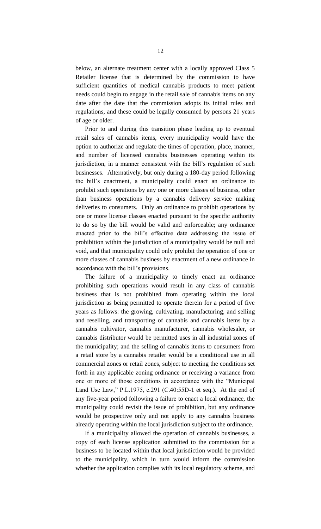below, an alternate treatment center with a locally approved Class 5 Retailer license that is determined by the commission to have sufficient quantities of medical cannabis products to meet patient needs could begin to engage in the retail sale of cannabis items on any date after the date that the commission adopts its initial rules and regulations, and these could be legally consumed by persons 21 years of age or older.

Prior to and during this transition phase leading up to eventual retail sales of cannabis items, every municipality would have the option to authorize and regulate the times of operation, place, manner, and number of licensed cannabis businesses operating within its jurisdiction, in a manner consistent with the bill's regulation of such businesses. Alternatively, but only during a 180-day period following the bill's enactment, a municipality could enact an ordinance to prohibit such operations by any one or more classes of business, other than business operations by a cannabis delivery service making deliveries to consumers. Only an ordinance to prohibit operations by one or more license classes enacted pursuant to the specific authority to do so by the bill would be valid and enforceable; any ordinance enacted prior to the bill's effective date addressing the issue of prohibition within the jurisdiction of a municipality would be null and void, and that municipality could only prohibit the operation of one or more classes of cannabis business by enactment of a new ordinance in accordance with the bill's provisions.

The failure of a municipality to timely enact an ordinance prohibiting such operations would result in any class of cannabis business that is not prohibited from operating within the local jurisdiction as being permitted to operate therein for a period of five years as follows: the growing, cultivating, manufacturing, and selling and reselling, and transporting of cannabis and cannabis items by a cannabis cultivator, cannabis manufacturer, cannabis wholesaler, or cannabis distributor would be permitted uses in all industrial zones of the municipality; and the selling of cannabis items to consumers from a retail store by a cannabis retailer would be a conditional use in all commercial zones or retail zones, subject to meeting the conditions set forth in any applicable zoning ordinance or receiving a variance from one or more of those conditions in accordance with the "Municipal Land Use Law," P.L.1975, c.291 (C.40:55D-1 et seq.). At the end of any five-year period following a failure to enact a local ordinance, the municipality could revisit the issue of prohibition, but any ordinance would be prospective only and not apply to any cannabis business already operating within the local jurisdiction subject to the ordinance.

If a municipality allowed the operation of cannabis businesses, a copy of each license application submitted to the commission for a business to be located within that local jurisdiction would be provided to the municipality, which in turn would inform the commission whether the application complies with its local regulatory scheme, and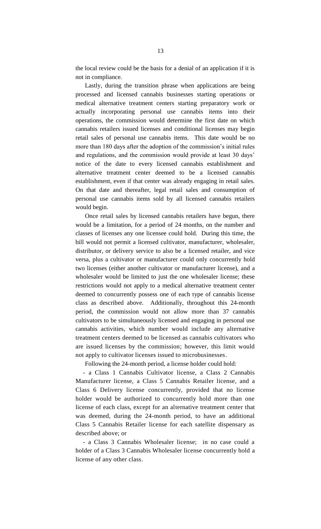the local review could be the basis for a denial of an application if it is not in compliance.

Lastly, during the transition phrase when applications are being processed and licensed cannabis businesses starting operations or medical alternative treatment centers starting preparatory work or actually incorporating personal use cannabis items into their operations, the commission would determine the first date on which cannabis retailers issued licenses and conditional licenses may begin retail sales of personal use cannabis items. This date would be no more than 180 days after the adoption of the commission's initial rules and regulations, and the commission would provide at least 30 days' notice of the date to every licensed cannabis establishment and alternative treatment center deemed to be a licensed cannabis establishment, even if that center was already engaging in retail sales. On that date and thereafter, legal retail sales and consumption of personal use cannabis items sold by all licensed cannabis retailers would begin.

Once retail sales by licensed cannabis retailers have begun, there would be a limitation, for a period of 24 months, on the number and classes of licenses any one licensee could hold. During this time, the bill would not permit a licensed cultivator, manufacturer, wholesaler, distributor, or delivery service to also be a licensed retailer, and vice versa, plus a cultivator or manufacturer could only concurrently hold two licenses (either another cultivator or manufacturer license), and a wholesaler would be limited to just the one wholesaler license; these restrictions would not apply to a medical alternative treatment center deemed to concurrently possess one of each type of cannabis license class as described above. Additionally, throughout this 24-month period, the commission would not allow more than 37 cannabis cultivators to be simultaneously licensed and engaging in personal use cannabis activities, which number would include any alternative treatment centers deemed to be licensed as cannabis cultivators who are issued licenses by the commission; however, this limit would not apply to cultivator licenses issued to microbusinesses.

Following the 24-month period, a license holder could hold:

- a Class 1 Cannabis Cultivator license, a Class 2 Cannabis Manufacturer license, a Class 5 Cannabis Retailer license, and a Class 6 Delivery license concurrently, provided that no license holder would be authorized to concurrently hold more than one license of each class, except for an alternative treatment center that was deemed, during the 24-month period, to have an additional Class 5 Cannabis Retailer license for each satellite dispensary as described above; or

- a Class 3 Cannabis Wholesaler license; in no case could a holder of a Class 3 Cannabis Wholesaler license concurrently hold a license of any other class.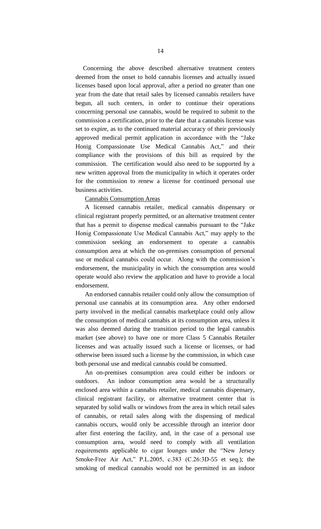Concerning the above described alternative treatment centers deemed from the onset to hold cannabis licenses and actually issued licenses based upon local approval, after a period no greater than one year from the date that retail sales by licensed cannabis retailers have begun, all such centers, in order to continue their operations concerning personal use cannabis, would be required to submit to the commission a certification, prior to the date that a cannabis license was set to expire, as to the continued material accuracy of their previously approved medical permit application in accordance with the "Jake Honig Compassionate Use Medical Cannabis Act," and their compliance with the provisions of this bill as required by the commission. The certification would also need to be supported by a new written approval from the municipality in which it operates order for the commission to renew a license for continued personal use business activities.

#### Cannabis Consumption Areas

A licensed cannabis retailer, medical cannabis dispensary or clinical registrant properly permitted, or an alternative treatment center that has a permit to dispense medical cannabis pursuant to the "Jake Honig Compassionate Use Medical Cannabis Act," may apply to the commission seeking an endorsement to operate a cannabis consumption area at which the on-premises consumption of personal use or medical cannabis could occur. Along with the commission's endorsement, the municipality in which the consumption area would operate would also review the application and have to provide a local endorsement.

An endorsed cannabis retailer could only allow the consumption of personal use cannabis at its consumption area. Any other endorsed party involved in the medical cannabis marketplace could only allow the consumption of medical cannabis at its consumption area, unless it was also deemed during the transition period to the legal cannabis market (see above) to have one or more Class 5 Cannabis Retailer licenses and was actually issued such a license or licenses, or had otherwise been issued such a license by the commission, in which case both personal use and medical cannabis could be consumed.

An on-premises consumption area could either be indoors or outdoors. An indoor consumption area would be a structurally enclosed area within a cannabis retailer, medical cannabis dispensary, clinical registrant facility, or alternative treatment center that is separated by solid walls or windows from the area in which retail sales of cannabis, or retail sales along with the dispensing of medical cannabis occurs, would only be accessible through an interior door after first entering the facility, and, in the case of a personal use consumption area, would need to comply with all ventilation requirements applicable to cigar lounges under the "New Jersey Smoke-Free Air Act," P.L.2005, c.383 (C.26:3D-55 et seq.); the smoking of medical cannabis would not be permitted in an indoor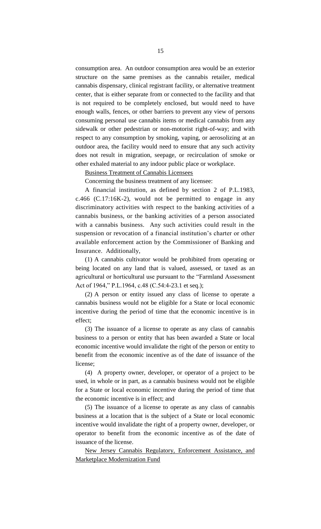consumption area. An outdoor consumption area would be an exterior structure on the same premises as the cannabis retailer, medical cannabis dispensary, clinical registrant facility, or alternative treatment center, that is either separate from or connected to the facility and that is not required to be completely enclosed, but would need to have enough walls, fences, or other barriers to prevent any view of persons consuming personal use cannabis items or medical cannabis from any sidewalk or other pedestrian or non-motorist right-of-way; and with respect to any consumption by smoking, vaping, or aerosolizing at an outdoor area, the facility would need to ensure that any such activity does not result in migration, seepage, or recirculation of smoke or other exhaled material to any indoor public place or workplace.

Business Treatment of Cannabis Licensees

Concerning the business treatment of any licensee:

A financial institution, as defined by section 2 of P.L.1983, c.466 (C.17:16K-2), would not be permitted to engage in any discriminatory activities with respect to the banking activities of a cannabis business, or the banking activities of a person associated with a cannabis business. Any such activities could result in the suspension or revocation of a financial institution's charter or other available enforcement action by the Commissioner of Banking and Insurance. Additionally,

(1) A cannabis cultivator would be prohibited from operating or being located on any land that is valued, assessed, or taxed as an agricultural or horticultural use pursuant to the "Farmland Assessment Act of 1964," P.L.1964, c.48 (C.54:4-23.1 et seq.);

(2) A person or entity issued any class of license to operate a cannabis business would not be eligible for a State or local economic incentive during the period of time that the economic incentive is in effect;

(3) The issuance of a license to operate as any class of cannabis business to a person or entity that has been awarded a State or local economic incentive would invalidate the right of the person or entity to benefit from the economic incentive as of the date of issuance of the license;

(4) A property owner, developer, or operator of a project to be used, in whole or in part, as a cannabis business would not be eligible for a State or local economic incentive during the period of time that the economic incentive is in effect; and

(5) The issuance of a license to operate as any class of cannabis business at a location that is the subject of a State or local economic incentive would invalidate the right of a property owner, developer, or operator to benefit from the economic incentive as of the date of issuance of the license.

New Jersey Cannabis Regulatory, Enforcement Assistance, and Marketplace Modernization Fund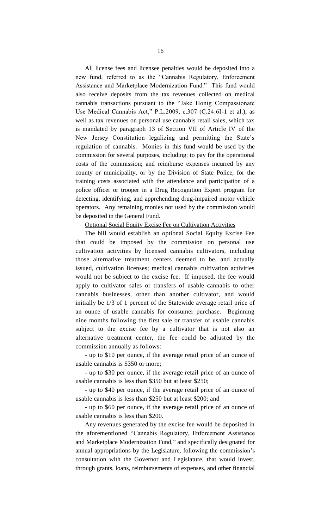All license fees and licensee penalties would be deposited into a new fund, referred to as the "Cannabis Regulatory, Enforcement Assistance and Marketplace Modernization Fund." This fund would also receive deposits from the tax revenues collected on medical cannabis transactions pursuant to the "Jake Honig Compassionate Use Medical Cannabis Act," P.L.2009, c.307 (C.24:6I-1 et al.), as well as tax revenues on personal use cannabis retail sales, which tax is mandated by paragraph 13 of Section VII of Article IV of the New Jersey Constitution legalizing and permitting the State's regulation of cannabis. Monies in this fund would be used by the commission for several purposes, including: to pay for the operational costs of the commission; and reimburse expenses incurred by any county or municipality, or by the Division of State Police, for the training costs associated with the attendance and participation of a police officer or trooper in a Drug Recognition Expert program for detecting, identifying, and apprehending drug-impaired motor vehicle operators. Any remaining monies not used by the commission would be deposited in the General Fund.

Optional Social Equity Excise Fee on Cultivation Activities

The bill would establish an optional Social Equity Excise Fee that could be imposed by the commission on personal use cultivation activities by licensed cannabis cultivators, including those alternative treatment centers deemed to be, and actually issued, cultivation licenses; medical cannabis cultivation activities would not be subject to the excise fee. If imposed, the fee would apply to cultivator sales or transfers of usable cannabis to other cannabis businesses, other than another cultivator, and would initially be 1/3 of 1 percent of the Statewide average retail price of an ounce of usable cannabis for consumer purchase. Beginning nine months following the first sale or transfer of usable cannabis subject to the excise fee by a cultivator that is not also an alternative treatment center, the fee could be adjusted by the commission annually as follows:

- up to \$10 per ounce, if the average retail price of an ounce of usable cannabis is \$350 or more;

- up to \$30 per ounce, if the average retail price of an ounce of usable cannabis is less than \$350 but at least \$250;

- up to \$40 per ounce, if the average retail price of an ounce of usable cannabis is less than \$250 but at least \$200; and

- up to \$60 per ounce, if the average retail price of an ounce of usable cannabis is less than \$200.

Any revenues generated by the excise fee would be deposited in the aforementioned "Cannabis Regulatory, Enforcement Assistance and Marketplace Modernization Fund," and specifically designated for annual appropriations by the Legislature, following the commission's consultation with the Governor and Legislature, that would invest, through grants, loans, reimbursements of expenses, and other financial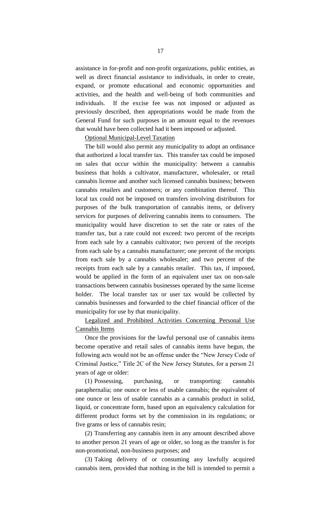assistance in for-profit and non-profit organizations, public entities, as well as direct financial assistance to individuals, in order to create, expand, or promote educational and economic opportunities and activities, and the health and well-being of both communities and individuals. If the excise fee was not imposed or adjusted as previously described, then appropriations would be made from the General Fund for such purposes in an amount equal to the revenues that would have been collected had it been imposed or adjusted.

#### Optional Municipal-Level Taxation

The bill would also permit any municipality to adopt an ordinance that authorized a local transfer tax. This transfer tax could be imposed on sales that occur within the municipality: between a cannabis business that holds a cultivator, manufacturer, wholesaler, or retail cannabis license and another such licensed cannabis business; between cannabis retailers and customers; or any combination thereof. This local tax could not be imposed on transfers involving distributors for purposes of the bulk transportation of cannabis items, or delivery services for purposes of delivering cannabis items to consumers. The municipality would have discretion to set the rate or rates of the transfer tax, but a rate could not exceed: two percent of the receipts from each sale by a cannabis cultivator; two percent of the receipts from each sale by a cannabis manufacturer; one percent of the receipts from each sale by a cannabis wholesaler; and two percent of the receipts from each sale by a cannabis retailer. This tax, if imposed, would be applied in the form of an equivalent user tax on non-sale transactions between cannabis businesses operated by the same license holder. The local transfer tax or user tax would be collected by cannabis businesses and forwarded to the chief financial officer of the municipality for use by that municipality.

Legalized and Prohibited Activities Concerning Personal Use Cannabis Items

Once the provisions for the lawful personal use of cannabis items become operative and retail sales of cannabis items have begun, the following acts would not be an offense under the "New Jersey Code of Criminal Justice," Title 2C of the New Jersey Statutes, for a person 21 years of age or older:

(1) Possessing, purchasing, or transporting: cannabis paraphernalia; one ounce or less of usable cannabis; the equivalent of one ounce or less of usable cannabis as a cannabis product in solid, liquid, or concentrate form, based upon an equivalency calculation for different product forms set by the commission in its regulations; or five grams or less of cannabis resin;

(2) Transferring any cannabis item in any amount described above to another person 21 years of age or older, so long as the transfer is for non-promotional, non-business purposes; and

(3) Taking delivery of or consuming any lawfully acquired cannabis item, provided that nothing in the bill is intended to permit a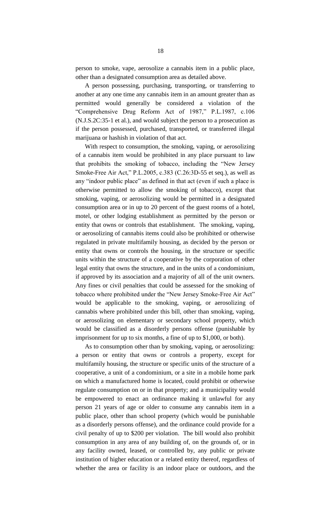person to smoke, vape, aerosolize a cannabis item in a public place, other than a designated consumption area as detailed above.

A person possessing, purchasing, transporting, or transferring to another at any one time any cannabis item in an amount greater than as permitted would generally be considered a violation of the "Comprehensive Drug Reform Act of 1987," P.L.1987, c.106 (N.J.S.2C:35-1 et al.), and would subject the person to a prosecution as if the person possessed, purchased, transported, or transferred illegal marijuana or hashish in violation of that act.

With respect to consumption, the smoking, vaping, or aerosolizing of a cannabis item would be prohibited in any place pursuant to law that prohibits the smoking of tobacco, including the "New Jersey Smoke-Free Air Act," P.L.2005, c.383 (C.26:3D-55 et seq.), as well as any "indoor public place" as defined in that act (even if such a place is otherwise permitted to allow the smoking of tobacco), except that smoking, vaping, or aerosolizing would be permitted in a designated consumption area or in up to 20 percent of the guest rooms of a hotel, motel, or other lodging establishment as permitted by the person or entity that owns or controls that establishment. The smoking, vaping, or aerosolizing of cannabis items could also be prohibited or otherwise regulated in private multifamily housing, as decided by the person or entity that owns or controls the housing, in the structure or specific units within the structure of a cooperative by the corporation of other legal entity that owns the structure, and in the units of a condominium, if approved by its association and a majority of all of the unit owners. Any fines or civil penalties that could be assessed for the smoking of tobacco where prohibited under the "New Jersey Smoke-Free Air Act" would be applicable to the smoking, vaping, or aerosolizing of cannabis where prohibited under this bill, other than smoking, vaping, or aerosolizing on elementary or secondary school property, which would be classified as a disorderly persons offense (punishable by imprisonment for up to six months, a fine of up to \$1,000, or both).

As to consumption other than by smoking, vaping, or aerosolizing: a person or entity that owns or controls a property, except for multifamily housing, the structure or specific units of the structure of a cooperative, a unit of a condominium, or a site in a mobile home park on which a manufactured home is located, could prohibit or otherwise regulate consumption on or in that property; and a municipality would be empowered to enact an ordinance making it unlawful for any person 21 years of age or older to consume any cannabis item in a public place, other than school property (which would be punishable as a disorderly persons offense), and the ordinance could provide for a civil penalty of up to \$200 per violation. The bill would also prohibit consumption in any area of any building of, on the grounds of, or in any facility owned, leased, or controlled by, any public or private institution of higher education or a related entity thereof, regardless of whether the area or facility is an indoor place or outdoors, and the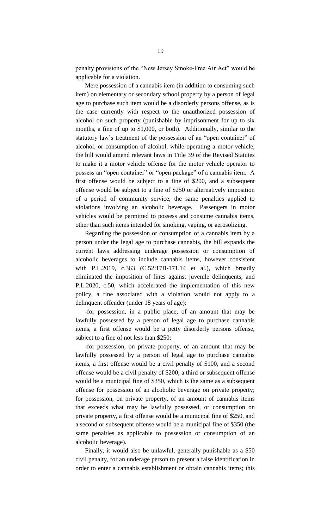penalty provisions of the "New Jersey Smoke-Free Air Act" would be applicable for a violation.

Mere possession of a cannabis item (in addition to consuming such item) on elementary or secondary school property by a person of legal age to purchase such item would be a disorderly persons offense, as is the case currently with respect to the unauthorized possession of alcohol on such property (punishable by imprisonment for up to six months, a fine of up to \$1,000, or both). Additionally, similar to the statutory law's treatment of the possession of an "open container" of alcohol, or consumption of alcohol, while operating a motor vehicle, the bill would amend relevant laws in Title 39 of the Revised Statutes to make it a motor vehicle offense for the motor vehicle operator to possess an "open container" or "open package" of a cannabis item. A first offense would be subject to a fine of \$200, and a subsequent offense would be subject to a fine of \$250 or alternatively imposition of a period of community service, the same penalties applied to violations involving an alcoholic beverage. Passengers in motor vehicles would be permitted to possess and consume cannabis items, other than such items intended for smoking, vaping, or aerosolizing.

Regarding the possession or consumption of a cannabis item by a person under the legal age to purchase cannabis, the bill expands the current laws addressing underage possession or consumption of alcoholic beverages to include cannabis items, however consistent with P.L.2019, c.363 (C.52:17B-171.14 et al.), which broadly eliminated the imposition of fines against juvenile delinquents, and P.L.2020, c.50, which accelerated the implementation of this new policy, a fine associated with a violation would not apply to a delinquent offender (under 18 years of age):

-for possession, in a public place, of an amount that may be lawfully possessed by a person of legal age to purchase cannabis items, a first offense would be a petty disorderly persons offense, subject to a fine of not less than \$250;

-for possession, on private property, of an amount that may be lawfully possessed by a person of legal age to purchase cannabis items, a first offense would be a civil penalty of \$100, and a second offense would be a civil penalty of \$200; a third or subsequent offense would be a municipal fine of \$350, which is the same as a subsequent offense for possession of an alcoholic beverage on private property; for possession, on private property, of an amount of cannabis items that exceeds what may be lawfully possessed, or consumption on private property, a first offense would be a municipal fine of \$250, and a second or subsequent offense would be a municipal fine of \$350 (the same penalties as applicable to possession or consumption of an alcoholic beverage).

Finally, it would also be unlawful, generally punishable as a \$50 civil penalty, for an underage person to present a false identification in order to enter a cannabis establishment or obtain cannabis items; this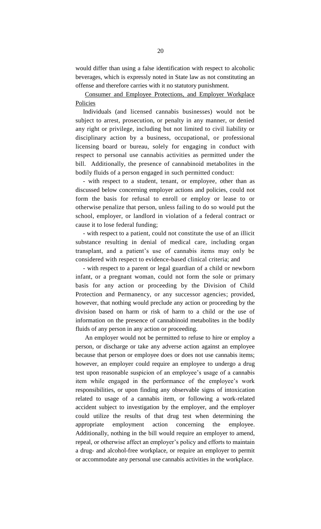would differ than using a false identification with respect to alcoholic beverages, which is expressly noted in State law as not constituting an offense and therefore carries with it no statutory punishment.

Consumer and Employee Protections, and Employer Workplace Policies

Individuals (and licensed cannabis businesses) would not be subject to arrest, prosecution, or penalty in any manner, or denied any right or privilege, including but not limited to civil liability or disciplinary action by a business, occupational, or professional licensing board or bureau, solely for engaging in conduct with respect to personal use cannabis activities as permitted under the bill. Additionally, the presence of cannabinoid metabolites in the bodily fluids of a person engaged in such permitted conduct:

- with respect to a student, tenant, or employee, other than as discussed below concerning employer actions and policies, could not form the basis for refusal to enroll or employ or lease to or otherwise penalize that person, unless failing to do so would put the school, employer, or landlord in violation of a federal contract or cause it to lose federal funding;

- with respect to a patient, could not constitute the use of an illicit substance resulting in denial of medical care, including organ transplant, and a patient's use of cannabis items may only be considered with respect to evidence-based clinical criteria; and

- with respect to a parent or legal guardian of a child or newborn infant, or a pregnant woman, could not form the sole or primary basis for any action or proceeding by the Division of Child Protection and Permanency, or any successor agencies; provided, however, that nothing would preclude any action or proceeding by the division based on harm or risk of harm to a child or the use of information on the presence of cannabinoid metabolites in the bodily fluids of any person in any action or proceeding.

An employer would not be permitted to refuse to hire or employ a person, or discharge or take any adverse action against an employee because that person or employee does or does not use cannabis items; however, an employer could require an employee to undergo a drug test upon reasonable suspicion of an employee's usage of a cannabis item while engaged in the performance of the employee's work responsibilities, or upon finding any observable signs of intoxication related to usage of a cannabis item, or following a work-related accident subject to investigation by the employer, and the employer could utilize the results of that drug test when determining the appropriate employment action concerning the employee. Additionally, nothing in the bill would require an employer to amend, repeal, or otherwise affect an employer's policy and efforts to maintain a drug- and alcohol-free workplace, or require an employer to permit or accommodate any personal use cannabis activities in the workplace.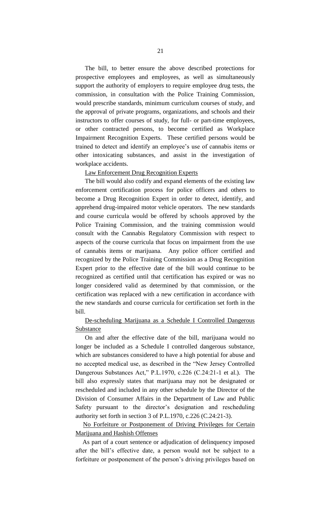The bill, to better ensure the above described protections for prospective employees and employees, as well as simultaneously support the authority of employers to require employee drug tests, the commission, in consultation with the Police Training Commission, would prescribe standards, minimum curriculum courses of study, and the approval of private programs, organizations, and schools and their instructors to offer courses of study, for full- or part-time employees, or other contracted persons, to become certified as Workplace Impairment Recognition Experts. These certified persons would be trained to detect and identify an employee's use of cannabis items or other intoxicating substances, and assist in the investigation of workplace accidents.

#### Law Enforcement Drug Recognition Experts

The bill would also codify and expand elements of the existing law enforcement certification process for police officers and others to become a Drug Recognition Expert in order to detect, identify, and apprehend drug-impaired motor vehicle operators. The new standards and course curricula would be offered by schools approved by the Police Training Commission, and the training commission would consult with the Cannabis Regulatory Commission with respect to aspects of the course curricula that focus on impairment from the use of cannabis items or marijuana. Any police officer certified and recognized by the Police Training Commission as a Drug Recognition Expert prior to the effective date of the bill would continue to be recognized as certified until that certification has expired or was no longer considered valid as determined by that commission, or the certification was replaced with a new certification in accordance with the new standards and course curricula for certification set forth in the bill.

## De-scheduling Marijuana as a Schedule I Controlled Dangerous Substance

On and after the effective date of the bill, marijuana would no longer be included as a Schedule I controlled dangerous substance, which are substances considered to have a high potential for abuse and no accepted medical use, as described in the "New Jersey Controlled Dangerous Substances Act," P.L.1970, c.226 (C.24:21-1 et al.). The bill also expressly states that marijuana may not be designated or rescheduled and included in any other schedule by the Director of the Division of Consumer Affairs in the Department of Law and Public Safety pursuant to the director's designation and rescheduling authority set forth in section 3 of P.L.1970, c.226 (C.24:21-3).

### No Forfeiture or Postponement of Driving Privileges for Certain Marijuana and Hashish Offenses

As part of a court sentence or adjudication of delinquency imposed after the bill's effective date, a person would not be subject to a forfeiture or postponement of the person's driving privileges based on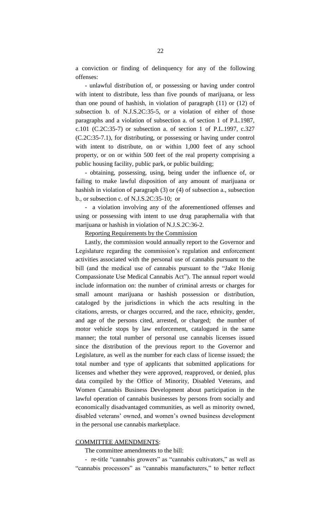a conviction or finding of delinquency for any of the following offenses:

- unlawful distribution of, or possessing or having under control with intent to distribute, less than five pounds of marijuana, or less than one pound of hashish, in violation of paragraph (11) or (12) of subsection b. of N.J.S.2C:35-5, or a violation of either of those paragraphs and a violation of subsection a. of section 1 of P.L.1987, c.101 (C.2C:35-7) or subsection a. of section 1 of P.L.1997, c.327 (C.2C:35-7.1), for distributing, or possessing or having under control with intent to distribute, on or within 1,000 feet of any school property, or on or within 500 feet of the real property comprising a public housing facility, public park, or public building;

- obtaining, possessing, using, being under the influence of, or failing to make lawful disposition of any amount of marijuana or hashish in violation of paragraph (3) or (4) of subsection a., subsection b., or subsection c. of N.J.S.2C:35-10; or

- a violation involving any of the aforementioned offenses and using or possessing with intent to use drug paraphernalia with that marijuana or hashish in violation of N.J.S.2C:36-2.

Reporting Requirements by the Commission

Lastly, the commission would annually report to the Governor and Legislature regarding the commission's regulation and enforcement activities associated with the personal use of cannabis pursuant to the bill (and the medical use of cannabis pursuant to the "Jake Honig Compassionate Use Medical Cannabis Act"). The annual report would include information on: the number of criminal arrests or charges for small amount marijuana or hashish possession or distribution, cataloged by the jurisdictions in which the acts resulting in the citations, arrests, or charges occurred, and the race, ethnicity, gender, and age of the persons cited, arrested, or charged; the number of motor vehicle stops by law enforcement, catalogued in the same manner; the total number of personal use cannabis licenses issued since the distribution of the previous report to the Governor and Legislature, as well as the number for each class of license issued; the total number and type of applicants that submitted applications for licenses and whether they were approved, reapproved, or denied, plus data compiled by the Office of Minority, Disabled Veterans, and Women Cannabis Business Development about participation in the lawful operation of cannabis businesses by persons from socially and economically disadvantaged communities, as well as minority owned, disabled veterans' owned, and women's owned business development in the personal use cannabis marketplace.

#### COMMITTEE AMENDMENTS:

The committee amendments to the bill:

- re-title "cannabis growers" as "cannabis cultivators," as well as "cannabis processors" as "cannabis manufacturers," to better reflect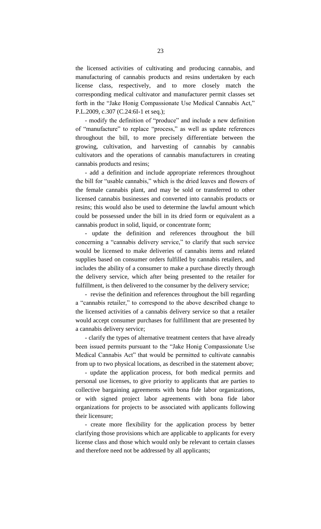the licensed activities of cultivating and producing cannabis, and manufacturing of cannabis products and resins undertaken by each license class, respectively, and to more closely match the corresponding medical cultivator and manufacturer permit classes set forth in the "Jake Honig Compassionate Use Medical Cannabis Act," P.L.2009, c.307 (C.24:6I-1 et seq.);

- modify the definition of "produce" and include a new definition of "manufacture" to replace "process," as well as update references throughout the bill, to more precisely differentiate between the growing, cultivation, and harvesting of cannabis by cannabis cultivators and the operations of cannabis manufacturers in creating cannabis products and resins;

- add a definition and include appropriate references throughout the bill for "usable cannabis," which is the dried leaves and flowers of the female cannabis plant, and may be sold or transferred to other licensed cannabis businesses and converted into cannabis products or resins; this would also be used to determine the lawful amount which could be possessed under the bill in its dried form or equivalent as a cannabis product in solid, liquid, or concentrate form;

- update the definition and references throughout the bill concerning a "cannabis delivery service," to clarify that such service would be licensed to make deliveries of cannabis items and related supplies based on consumer orders fulfilled by cannabis retailers, and includes the ability of a consumer to make a purchase directly through the delivery service, which after being presented to the retailer for fulfillment, is then delivered to the consumer by the delivery service;

- revise the definition and references throughout the bill regarding a "cannabis retailer," to correspond to the above described change to the licensed activities of a cannabis delivery service so that a retailer would accept consumer purchases for fulfillment that are presented by a cannabis delivery service;

- clarify the types of alternative treatment centers that have already been issued permits pursuant to the "Jake Honig Compassionate Use Medical Cannabis Act" that would be permitted to cultivate cannabis from up to two physical locations, as described in the statement above;

- update the application process, for both medical permits and personal use licenses, to give priority to applicants that are parties to collective bargaining agreements with bona fide labor organizations, or with signed project labor agreements with bona fide labor organizations for projects to be associated with applicants following their licensure;

- create more flexibility for the application process by better clarifying those provisions which are applicable to applicants for every license class and those which would only be relevant to certain classes and therefore need not be addressed by all applicants;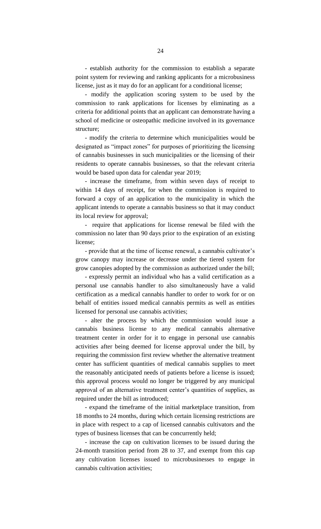- establish authority for the commission to establish a separate point system for reviewing and ranking applicants for a microbusiness license, just as it may do for an applicant for a conditional license;

- modify the application scoring system to be used by the commission to rank applications for licenses by eliminating as a criteria for additional points that an applicant can demonstrate having a school of medicine or osteopathic medicine involved in its governance structure;

- modify the criteria to determine which municipalities would be designated as "impact zones" for purposes of prioritizing the licensing of cannabis businesses in such municipalities or the licensing of their residents to operate cannabis businesses, so that the relevant criteria would be based upon data for calendar year 2019;

- increase the timeframe, from within seven days of receipt to within 14 days of receipt, for when the commission is required to forward a copy of an application to the municipality in which the applicant intends to operate a cannabis business so that it may conduct its local review for approval;

- require that applications for license renewal be filed with the commission no later than 90 days prior to the expiration of an existing license;

- provide that at the time of license renewal, a cannabis cultivator's grow canopy may increase or decrease under the tiered system for grow canopies adopted by the commission as authorized under the bill;

- expressly permit an individual who has a valid certification as a personal use cannabis handler to also simultaneously have a valid certification as a medical cannabis handler to order to work for or on behalf of entities issued medical cannabis permits as well as entities licensed for personal use cannabis activities;

- alter the process by which the commission would issue a cannabis business license to any medical cannabis alternative treatment center in order for it to engage in personal use cannabis activities after being deemed for license approval under the bill, by requiring the commission first review whether the alternative treatment center has sufficient quantities of medical cannabis supplies to meet the reasonably anticipated needs of patients before a license is issued; this approval process would no longer be triggered by any municipal approval of an alternative treatment center's quantities of supplies, as required under the bill as introduced;

- expand the timeframe of the initial marketplace transition, from 18 months to 24 months, during which certain licensing restrictions are in place with respect to a cap of licensed cannabis cultivators and the types of business licenses that can be concurrently held;

- increase the cap on cultivation licenses to be issued during the 24-month transition period from 28 to 37, and exempt from this cap any cultivation licenses issued to microbusinesses to engage in cannabis cultivation activities;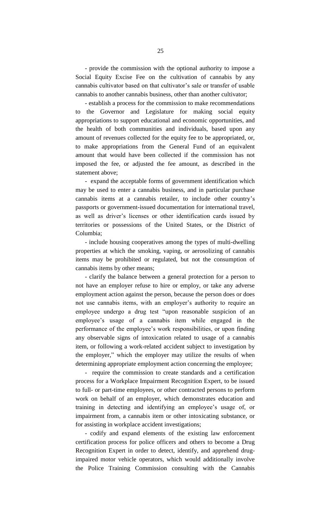- provide the commission with the optional authority to impose a Social Equity Excise Fee on the cultivation of cannabis by any cannabis cultivator based on that cultivator's sale or transfer of usable cannabis to another cannabis business, other than another cultivator;

- establish a process for the commission to make recommendations to the Governor and Legislature for making social equity appropriations to support educational and economic opportunities, and the health of both communities and individuals, based upon any amount of revenues collected for the equity fee to be appropriated, or, to make appropriations from the General Fund of an equivalent amount that would have been collected if the commission has not imposed the fee, or adjusted the fee amount, as described in the statement above;

- expand the acceptable forms of government identification which may be used to enter a cannabis business, and in particular purchase cannabis items at a cannabis retailer, to include other country's passports or government-issued documentation for international travel, as well as driver's licenses or other identification cards issued by territories or possessions of the United States, or the District of Columbia;

- include housing cooperatives among the types of multi-dwelling properties at which the smoking, vaping, or aerosolizing of cannabis items may be prohibited or regulated, but not the consumption of cannabis items by other means;

- clarify the balance between a general protection for a person to not have an employer refuse to hire or employ, or take any adverse employment action against the person, because the person does or does not use cannabis items, with an employer's authority to require an employee undergo a drug test "upon reasonable suspicion of an employee's usage of a cannabis item while engaged in the performance of the employee's work responsibilities, or upon finding any observable signs of intoxication related to usage of a cannabis item, or following a work-related accident subject to investigation by the employer," which the employer may utilize the results of when determining appropriate employment action concerning the employee;

- require the commission to create standards and a certification process for a Workplace Impairment Recognition Expert, to be issued to full- or part-time employees, or other contracted persons to perform work on behalf of an employer, which demonstrates education and training in detecting and identifying an employee's usage of, or impairment from, a cannabis item or other intoxicating substance, or for assisting in workplace accident investigations;

- codify and expand elements of the existing law enforcement certification process for police officers and others to become a Drug Recognition Expert in order to detect, identify, and apprehend drugimpaired motor vehicle operators, which would additionally involve the Police Training Commission consulting with the Cannabis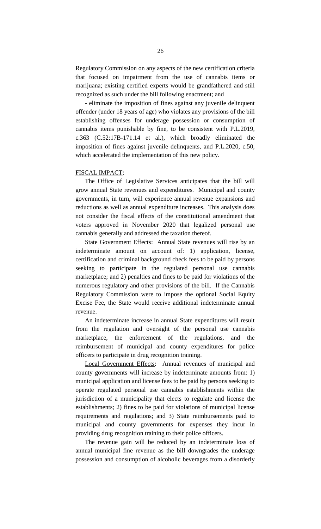Regulatory Commission on any aspects of the new certification criteria that focused on impairment from the use of cannabis items or marijuana; existing certified experts would be grandfathered and still recognized as such under the bill following enactment; and

- eliminate the imposition of fines against any juvenile delinquent offender (under 18 years of age) who violates any provisions of the bill establishing offenses for underage possession or consumption of cannabis items punishable by fine, to be consistent with P.L.2019, c.363 (C.52:17B-171.14 et al.), which broadly eliminated the imposition of fines against juvenile delinquents, and P.L.2020, c.50, which accelerated the implementation of this new policy.

#### FISCAL IMPACT:

The Office of Legislative Services anticipates that the bill will grow annual State revenues and expenditures. Municipal and county governments, in turn, will experience annual revenue expansions and reductions as well as annual expenditure increases. This analysis does not consider the fiscal effects of the constitutional amendment that voters approved in November 2020 that legalized personal use cannabis generally and addressed the taxation thereof.

State Government Effects: Annual State revenues will rise by an indeterminate amount on account of: 1) application, license, certification and criminal background check fees to be paid by persons seeking to participate in the regulated personal use cannabis marketplace; and 2) penalties and fines to be paid for violations of the numerous regulatory and other provisions of the bill. If the Cannabis Regulatory Commission were to impose the optional Social Equity Excise Fee, the State would receive additional indeterminate annual revenue.

An indeterminate increase in annual State expenditures will result from the regulation and oversight of the personal use cannabis marketplace, the enforcement of the regulations, and the reimbursement of municipal and county expenditures for police officers to participate in drug recognition training.

Local Government Effects: Annual revenues of municipal and county governments will increase by indeterminate amounts from: 1) municipal application and license fees to be paid by persons seeking to operate regulated personal use cannabis establishments within the jurisdiction of a municipality that elects to regulate and license the establishments; 2) fines to be paid for violations of municipal license requirements and regulations; and 3) State reimbursements paid to municipal and county governments for expenses they incur in providing drug recognition training to their police officers.

The revenue gain will be reduced by an indeterminate loss of annual municipal fine revenue as the bill downgrades the underage possession and consumption of alcoholic beverages from a disorderly